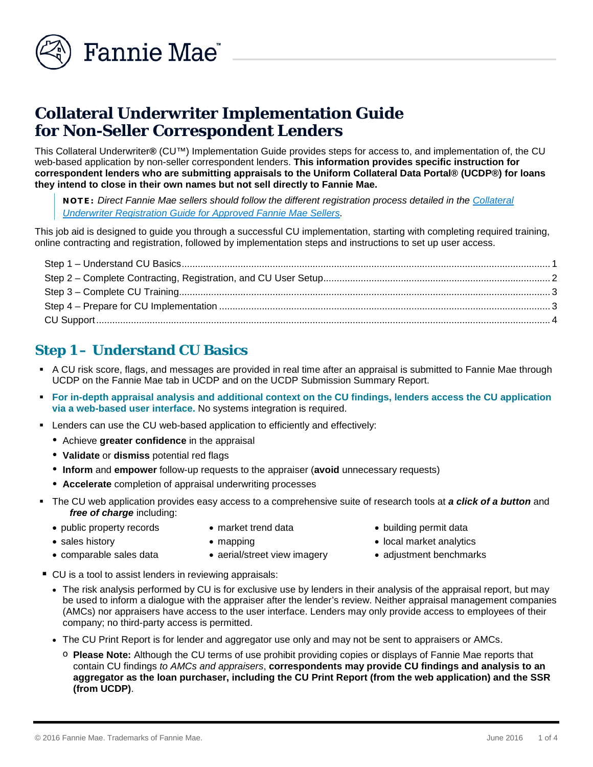

# **Collateral Underwriter Implementation Guide for Non-Seller Correspondent Lenders**

This Collateral Underwriter**®** (CU™) Implementation Guide provides steps for access to, and implementation of, the CU web-based application by non-seller correspondent lenders. **This information provides specific instruction for correspondent lenders who are submitting appraisals to the Uniform Collateral Data Portal® (UCDP®) for loans they intend to close in their own names but not sell directly to Fannie Mae.** 

NOTE: *Direct Fannie Mae sellers should follow the different registration process detailed in the [Collateral](https://www.fanniemae.com/content/fact_sheet/collateral-underwriter-user-interface-registration-guide.pdf)  [Underwriter Registration Guide for Approved Fannie Mae Sellers.](https://www.fanniemae.com/content/fact_sheet/collateral-underwriter-user-interface-registration-guide.pdf)* 

This job aid is designed to guide you through a successful CU implementation, starting with completing required training, online contracting and registration, followed by implementation steps and instructions to set up user access.

# <span id="page-0-0"></span>**Step 1 – Understand CU Basics**

- A CU risk score, flags, and messages are provided in real time after an appraisal is submitted to Fannie Mae through UCDP on the Fannie Mae tab in UCDP and on the UCDP Submission Summary Report.
- **For in-depth appraisal analysis and additional context on the CU findings, lenders access the CU application via a web-based user interface.** No systems integration is required.
- Lenders can use the CU web-based application to efficiently and effectively:
	- Achieve **greater confidence** in the appraisal
	- **Validate** or **dismiss** potential red flags
	- **Inform** and **empower** follow-up requests to the appraiser (**avoid** unnecessary requests)
	- **Accelerate** completion of appraisal underwriting processes
- The CU web application provides easy access to a comprehensive suite of research tools at *a click of a button* and free of charge including:
	- public property records market trend data building permit data
- 

- 
- comparable sales data aerial/street view imagery adjustment benchmarks
	-
- CU is a tool to assist lenders in reviewing appraisals:
	- The risk analysis performed by CU is for exclusive use by lenders in their analysis of the appraisal report, but may be used to inform a dialogue with the appraiser after the lender's review. Neither appraisal management companies (AMCs) nor appraisers have access to the user interface. Lenders may only provide access to employees of their company; no third-party access is permitted.
	- The CU Print Report is for lender and aggregator use only and may not be sent to appraisers or AMCs.
		- o **Please Note:** Although the CU terms of use prohibit providing copies or displays of Fannie Mae reports that contain CU findings *to AMCs and appraisers*, **correspondents may provide CU findings and analysis to an aggregator as the loan purchaser, including the CU Print Report (from the web application) and the SSR (from UCDP)**.
- 
- sales history  **mapping local market analytics** 
	-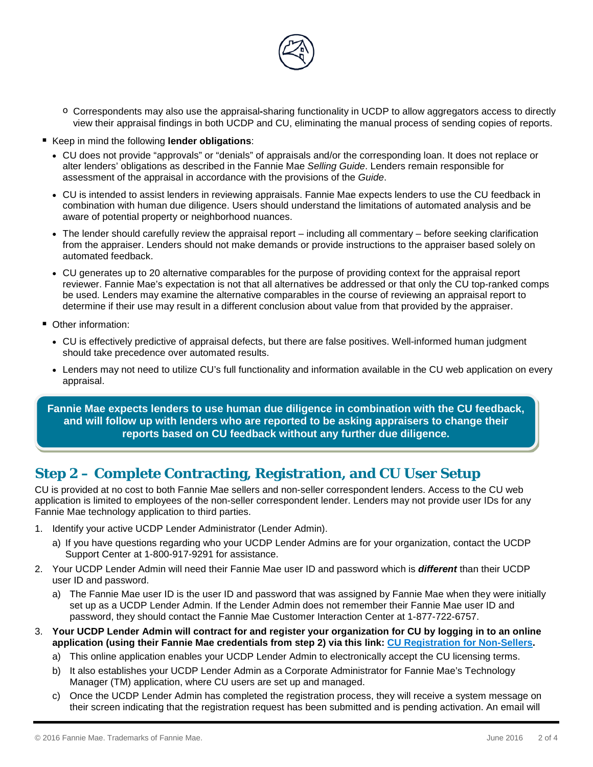

- o Correspondents may also use the appraisal**-**sharing functionality in UCDP to allow aggregators access to directly view their appraisal findings in both UCDP and CU, eliminating the manual process of sending copies of reports.
- Keep in mind the following **lender obligations**:
	- CU does not provide "approvals" or "denials" of appraisals and/or the corresponding loan. It does not replace or alter lenders' obligations as described in the Fannie Mae *Selling Guide*. Lenders remain responsible for assessment of the appraisal in accordance with the provisions of the *Guide*.
	- CU is intended to assist lenders in reviewing appraisals. Fannie Mae expects lenders to use the CU feedback in combination with human due diligence. Users should understand the limitations of automated analysis and be aware of potential property or neighborhood nuances.
	- The lender should carefully review the appraisal report including all commentary before seeking clarification from the appraiser. Lenders should not make demands or provide instructions to the appraiser based solely on automated feedback.
	- CU generates up to 20 alternative comparables for the purpose of providing context for the appraisal report reviewer. Fannie Mae's expectation is not that all alternatives be addressed or that only the CU top-ranked comps be used. Lenders may examine the alternative comparables in the course of reviewing an appraisal report to determine if their use may result in a different conclusion about value from that provided by the appraiser.
- **Other information:** 
	- CU is effectively predictive of appraisal defects, but there are false positives. Well-informed human judgment should take precedence over automated results.
	- Lenders may not need to utilize CU's full functionality and information available in the CU web application on every appraisal.

**Fannie Mae expects lenders to use human due diligence in combination with the CU feedback, and will follow up with lenders who are reported to be asking appraisers to change their reports based on CU feedback without any further due diligence.**

## <span id="page-1-0"></span>**Step 2 – Complete Contracting, Registration, and CU User Setup**

CU is provided at no cost to both Fannie Mae sellers and non-seller correspondent lenders. Access to the CU web application is limited to employees of the non-seller correspondent lender. Lenders may not provide user IDs for any Fannie Mae technology application to third parties.

- 1. Identify your active UCDP Lender Administrator (Lender Admin).
	- a) If you have questions regarding who your UCDP Lender Admins are for your organization, contact the UCDP Support Center at 1-800-917-9291 for assistance.
- 2. Your UCDP Lender Admin will need their Fannie Mae user ID and password which is *different* than their UCDP user ID and password.
	- a) The Fannie Mae user ID is the user ID and password that was assigned by Fannie Mae when they were initially set up as a UCDP Lender Admin. If the Lender Admin does not remember their Fannie Mae user ID and password, they should contact the Fannie Mae Customer Interaction Center at 1-877-722-6757.
- 3. **Your UCDP Lender Admin will contract for and register your organization for CU by logging in to an online application (using their Fannie Mae credentials from step 2) via this link: [CU Registration for Non-Sellers.](https://technologymanager.fanniemae.com/collateral-underwriter-registration)**
	- a) This online application enables your UCDP Lender Admin to electronically accept the CU licensing terms.
	- b) It also establishes your UCDP Lender Admin as a Corporate Administrator for Fannie Mae's Technology Manager (TM) application, where CU users are set up and managed.
	- c) Once the UCDP Lender Admin has completed the registration process, they will receive a system message on their screen indicating that the registration request has been submitted and is pending activation. An email will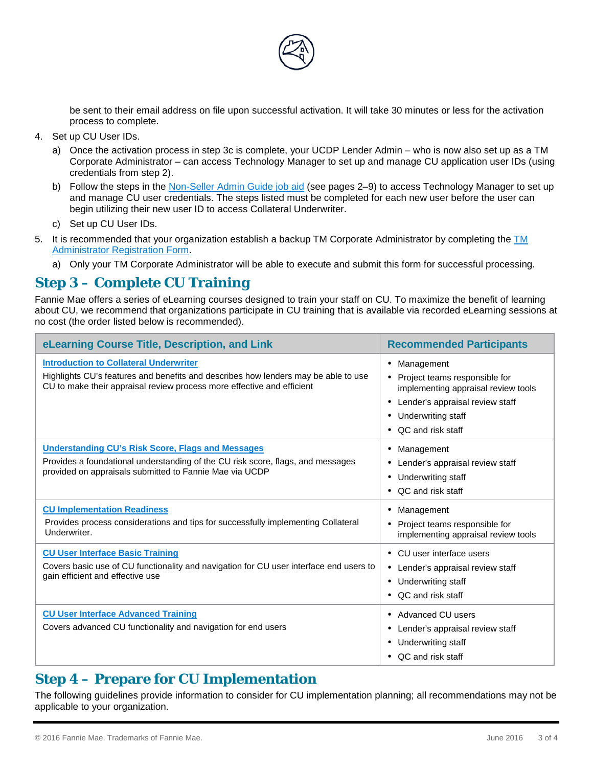

be sent to their email address on file upon successful activation. It will take 30 minutes or less for the activation process to complete.

- 4. Set up CU User IDs.
	- a) Once the activation process in step 3c is complete, your UCDP Lender Admin who is now also set up as a TM Corporate Administrator – can access Technology Manager to set up and manage CU application user IDs (using credentials from step 2).
	- b) Follow the steps in the [Non-Seller Admin Guide job aid](https://www.fanniemae.com/content/user_guide/non-seller-admin-guide.pdf) (see pages 2–9) to access Technology Manager to set up and manage CU user credentials. The steps listed must be completed for each new user before the user can begin utilizing their new user ID to access Collateral Underwriter.
	- c) Set up CU User IDs.
- 5. It is recommended that your organization establish a backup [TM](https://www.fanniemae.com/content/forms/technology-manager-administrator-registration-form.doc) Corporate Administrator by completing the  $TM$ [Administrator Registration Form.](https://www.fanniemae.com/content/forms/technology-manager-administrator-registration-form.doc)
	- a) Only your TM Corporate Administrator will be able to execute and submit this form for successful processing.

### <span id="page-2-0"></span>**Step 3 – Complete CU Training**

Fannie Mae offers a series of eLearning courses designed to train your staff on CU. To maximize the benefit of learning about CU, we recommend that organizations participate in CU training that is available via recorded eLearning sessions at no cost (the order listed below is recommended).

| eLearning Course Title, Description, and Link                                                                                                                                                                 | <b>Recommended Participants</b>                                                                                                                                          |
|---------------------------------------------------------------------------------------------------------------------------------------------------------------------------------------------------------------|--------------------------------------------------------------------------------------------------------------------------------------------------------------------------|
| <b>Introduction to Collateral Underwriter</b><br>Highlights CU's features and benefits and describes how lenders may be able to use<br>CU to make their appraisal review process more effective and efficient | • Management<br>• Project teams responsible for<br>implementing appraisal review tools<br>Lender's appraisal review staff<br>• Underwriting staff<br>• QC and risk staff |
| <b>Understanding CU's Risk Score, Flags and Messages</b><br>Provides a foundational understanding of the CU risk score, flags, and messages<br>provided on appraisals submitted to Fannie Mae via UCDP        | • Management<br>• Lender's appraisal review staff<br>Underwriting staff<br>$\bullet$<br>• QC and risk staff                                                              |
| <b>CU Implementation Readiness</b><br>Provides process considerations and tips for successfully implementing Collateral<br>Underwriter.                                                                       | • Management<br>• Project teams responsible for<br>implementing appraisal review tools                                                                                   |
| <b>CU User Interface Basic Training</b><br>Covers basic use of CU functionality and navigation for CU user interface end users to<br>gain efficient and effective use                                         | • CU user interface users<br>• Lender's appraisal review staff<br>Underwriting staff<br>$\bullet$<br>• QC and risk staff                                                 |
| <b>CU User Interface Advanced Training</b><br>Covers advanced CU functionality and navigation for end users                                                                                                   | • Advanced CU users<br>Lender's appraisal review staff<br>Underwriting staff<br>• QC and risk staff                                                                      |

### <span id="page-2-1"></span>**Step 4 – Prepare for CU Implementation**

The following guidelines provide information to consider for CU implementation planning; all recommendations may not be applicable to your organization.